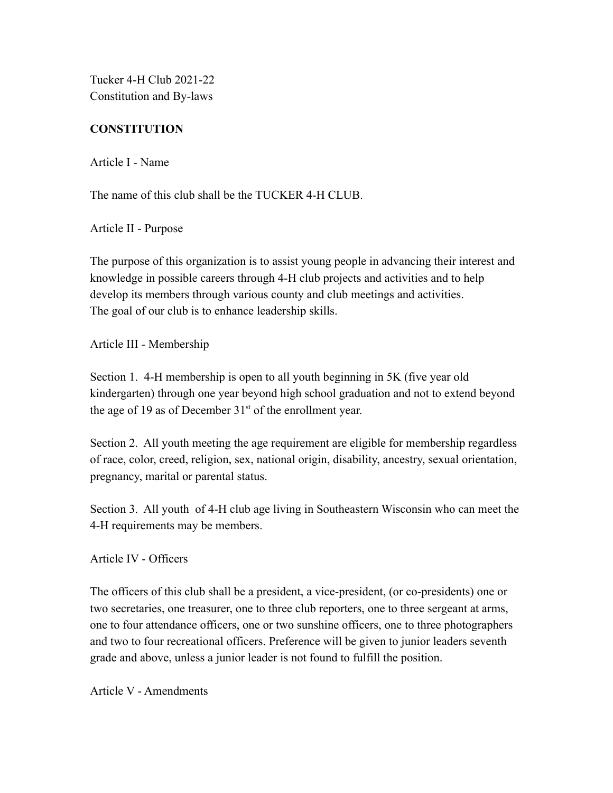Tucker 4-H Club 2021-22 Constitution and By-laws

# **CONSTITUTION**

Article I - Name

The name of this club shall be the TUCKER 4-H CLUB.

Article II - Purpose

The purpose of this organization is to assist young people in advancing their interest and knowledge in possible careers through 4-H club projects and activities and to help develop its members through various county and club meetings and activities. The goal of our club is to enhance leadership skills.

Article III - Membership

Section 1. 4-H membership is open to all youth beginning in 5K (five year old kindergarten) through one year beyond high school graduation and not to extend beyond the age of 19 as of December  $31<sup>st</sup>$  of the enrollment year.

Section 2. All youth meeting the age requirement are eligible for membership regardless of race, color, creed, religion, sex, national origin, disability, ancestry, sexual orientation, pregnancy, marital or parental status.

Section 3. All youth of 4-H club age living in Southeastern Wisconsin who can meet the 4-H requirements may be members.

Article IV - Officers

The officers of this club shall be a president, a vice-president, (or co-presidents) one or two secretaries, one treasurer, one to three club reporters, one to three sergeant at arms, one to four attendance officers, one or two sunshine officers, one to three photographers and two to four recreational officers. Preference will be given to junior leaders seventh grade and above, unless a junior leader is not found to fulfill the position.

Article V - Amendments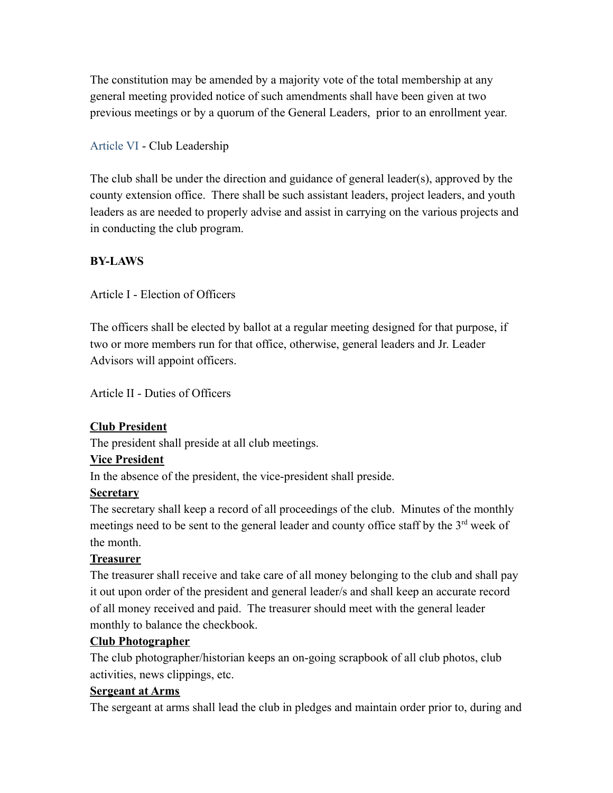The constitution may be amended by a majority vote of the total membership at any general meeting provided notice of such amendments shall have been given at two previous meetings or by a quorum of the General Leaders, prior to an enrollment year.

# Article VI - Club Leadership

The club shall be under the direction and guidance of general leader(s), approved by the county extension office. There shall be such assistant leaders, project leaders, and youth leaders as are needed to properly advise and assist in carrying on the various projects and in conducting the club program.

## **BY-LAWS**

Article I - Election of Officers

The officers shall be elected by ballot at a regular meeting designed for that purpose, if two or more members run for that office, otherwise, general leaders and Jr. Leader Advisors will appoint officers.

Article II - Duties of Officers

# **Club President**

The president shall preside at all club meetings.

## **Vice President**

In the absence of the president, the vice-president shall preside.

## **Secretary**

The secretary shall keep a record of all proceedings of the club. Minutes of the monthly meetings need to be sent to the general leader and county office staff by the  $3<sup>rd</sup>$  week of the month.

## **Treasurer**

The treasurer shall receive and take care of all money belonging to the club and shall pay it out upon order of the president and general leader/s and shall keep an accurate record of all money received and paid. The treasurer should meet with the general leader monthly to balance the checkbook.

## **Club Photographer**

The club photographer/historian keeps an on-going scrapbook of all club photos, club activities, news clippings, etc.

## **Sergeant at Arms**

The sergeant at arms shall lead the club in pledges and maintain order prior to, during and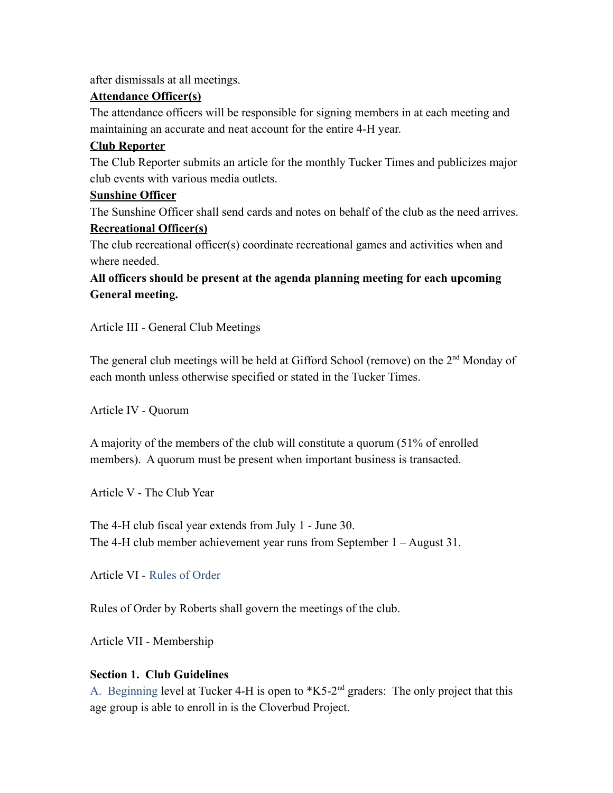after dismissals at all meetings.

## **Attendance Officer(s)**

The attendance officers will be responsible for signing members in at each meeting and maintaining an accurate and neat account for the entire 4-H year.

## **Club Reporter**

The Club Reporter submits an article for the monthly Tucker Times and publicizes major club events with various media outlets.

## **Sunshine Officer**

The Sunshine Officer shall send cards and notes on behalf of the club as the need arrives.

## **Recreational Officer(s)**

The club recreational officer(s) coordinate recreational games and activities when and where needed

**All officers should be present at the agenda planning meeting for each upcoming General meeting.**

Article III - General Club Meetings

The general club meetings will be held at Gifford School (remove) on the 2<sup>nd</sup> Monday of each month unless otherwise specified or stated in the Tucker Times.

Article IV - Quorum

A majority of the members of the club will constitute a quorum (51% of enrolled members). A quorum must be present when important business is transacted.

Article V - The Club Year

The 4-H club fiscal year extends from July 1 - June 30. The 4-H club member achievement year runs from September 1 – August 31.

Article VI - Rules of Order

Rules of Order by Roberts shall govern the meetings of the club.

Article VII - Membership

# **Section 1. Club Guidelines**

A. Beginning level at Tucker 4-H is open to  $*K5-2<sup>nd</sup>$  graders: The only project that this age group is able to enroll in is the Cloverbud Project.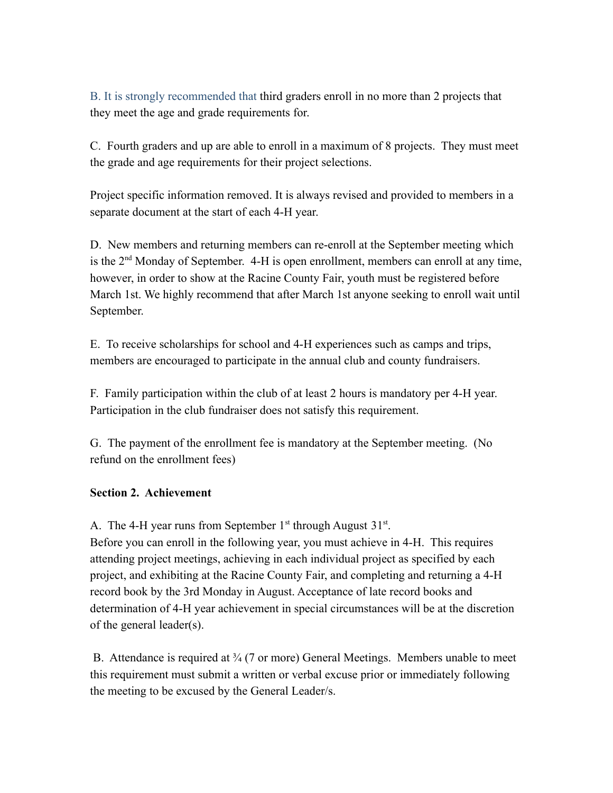B. It is strongly recommended that third graders enroll in no more than 2 projects that they meet the age and grade requirements for.

C. Fourth graders and up are able to enroll in a maximum of 8 projects. They must meet the grade and age requirements for their project selections.

Project specific information removed. It is always revised and provided to members in a separate document at the start of each 4-H year.

D. New members and returning members can re-enroll at the September meeting which is the  $2<sup>nd</sup>$  Monday of September. 4-H is open enrollment, members can enroll at any time, however, in order to show at the Racine County Fair, youth must be registered before March 1st. We highly recommend that after March 1st anyone seeking to enroll wait until September.

E. To receive scholarships for school and 4-H experiences such as camps and trips, members are encouraged to participate in the annual club and county fundraisers.

F. Family participation within the club of at least 2 hours is mandatory per 4-H year. Participation in the club fundraiser does not satisfy this requirement.

G. The payment of the enrollment fee is mandatory at the September meeting. (No refund on the enrollment fees)

## **Section 2. Achievement**

A. The 4-H year runs from September  $1<sup>st</sup>$  through August  $31<sup>st</sup>$ .

Before you can enroll in the following year, you must achieve in 4-H. This requires attending project meetings, achieving in each individual project as specified by each project, and exhibiting at the Racine County Fair, and completing and returning a 4-H record book by the 3rd Monday in August. Acceptance of late record books and determination of 4-H year achievement in special circumstances will be at the discretion of the general leader(s).

B. Attendance is required at  $\frac{3}{4}$  (7 or more) General Meetings. Members unable to meet this requirement must submit a written or verbal excuse prior or immediately following the meeting to be excused by the General Leader/s.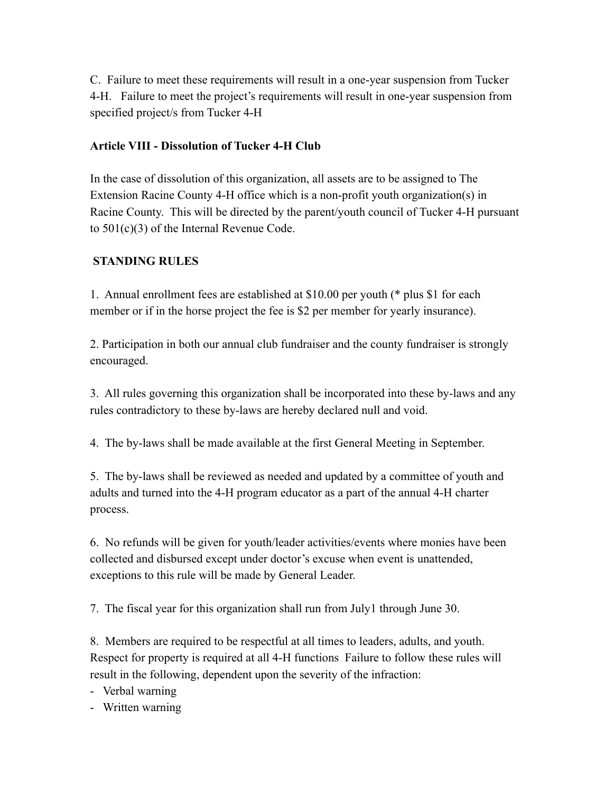C. Failure to meet these requirements will result in a one-year suspension from Tucker 4-H. Failure to meet the project's requirements will result in one-year suspension from specified project/s from Tucker 4-H

# **Article VIII - Dissolution of Tucker 4-H Club**

In the case of dissolution of this organization, all assets are to be assigned to The Extension Racine County 4-H office which is a non-profit youth organization(s) in Racine County. This will be directed by the parent/youth council of Tucker 4-H pursuant to 501(c)(3) of the Internal Revenue Code.

## **STANDING RULES**

1. Annual enrollment fees are established at \$10.00 per youth (\* plus \$1 for each member or if in the horse project the fee is \$2 per member for yearly insurance).

2. Participation in both our annual club fundraiser and the county fundraiser is strongly encouraged.

3. All rules governing this organization shall be incorporated into these by-laws and any rules contradictory to these by-laws are hereby declared null and void.

4. The by-laws shall be made available at the first General Meeting in September.

5. The by-laws shall be reviewed as needed and updated by a committee of youth and adults and turned into the 4-H program educator as a part of the annual 4-H charter process.

6. No refunds will be given for youth/leader activities/events where monies have been collected and disbursed except under doctor's excuse when event is unattended, exceptions to this rule will be made by General Leader.

7. The fiscal year for this organization shall run from July1 through June 30.

8. Members are required to be respectful at all times to leaders, adults, and youth. Respect for property is required at all 4-H functions Failure to follow these rules will result in the following, dependent upon the severity of the infraction:

- Verbal warning

- Written warning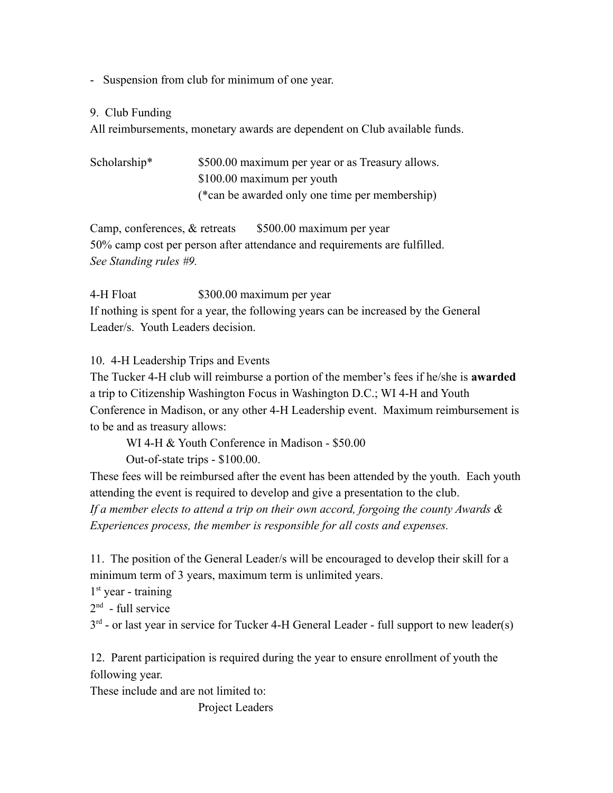- Suspension from club for minimum of one year.

#### 9. Club Funding

All reimbursements, monetary awards are dependent on Club available funds.

| Scholarship* | \$500.00 maximum per year or as Treasury allows. |
|--------------|--------------------------------------------------|
|              | \$100.00 maximum per youth                       |
|              | (*can be awarded only one time per membership)   |

Camp, conferences,  $&$  retreats  $$500.00$  maximum per year 50% camp cost per person after attendance and requirements are fulfilled. *See Standing rules #9.*

4-H Float \$300.00 maximum per year If nothing is spent for a year, the following years can be increased by the General Leader/s. Youth Leaders decision.

10. 4-H Leadership Trips and Events

The Tucker 4-H club will reimburse a portion of the member's fees if he/she is **awarded** a trip to Citizenship Washington Focus in Washington D.C.; WI 4-H and Youth Conference in Madison, or any other 4-H Leadership event. Maximum reimbursement is to be and as treasury allows:

WI 4-H & Youth Conference in Madison - \$50.00 Out-of-state trips - \$100.00.

These fees will be reimbursed after the event has been attended by the youth. Each youth attending the event is required to develop and give a presentation to the club. *If a member elects to attend a trip on their own accord, forgoing the county Awards & Experiences process, the member is responsible for all costs and expenses.*

11. The position of the General Leader/s will be encouraged to develop their skill for a minimum term of 3 years, maximum term is unlimited years.

1<sup>st</sup> year - training

 $2<sup>nd</sup>$  - full service

 $3<sup>rd</sup>$  - or last year in service for Tucker 4-H General Leader - full support to new leader(s)

12. Parent participation is required during the year to ensure enrollment of youth the following year.

These include and are not limited to:

Project Leaders